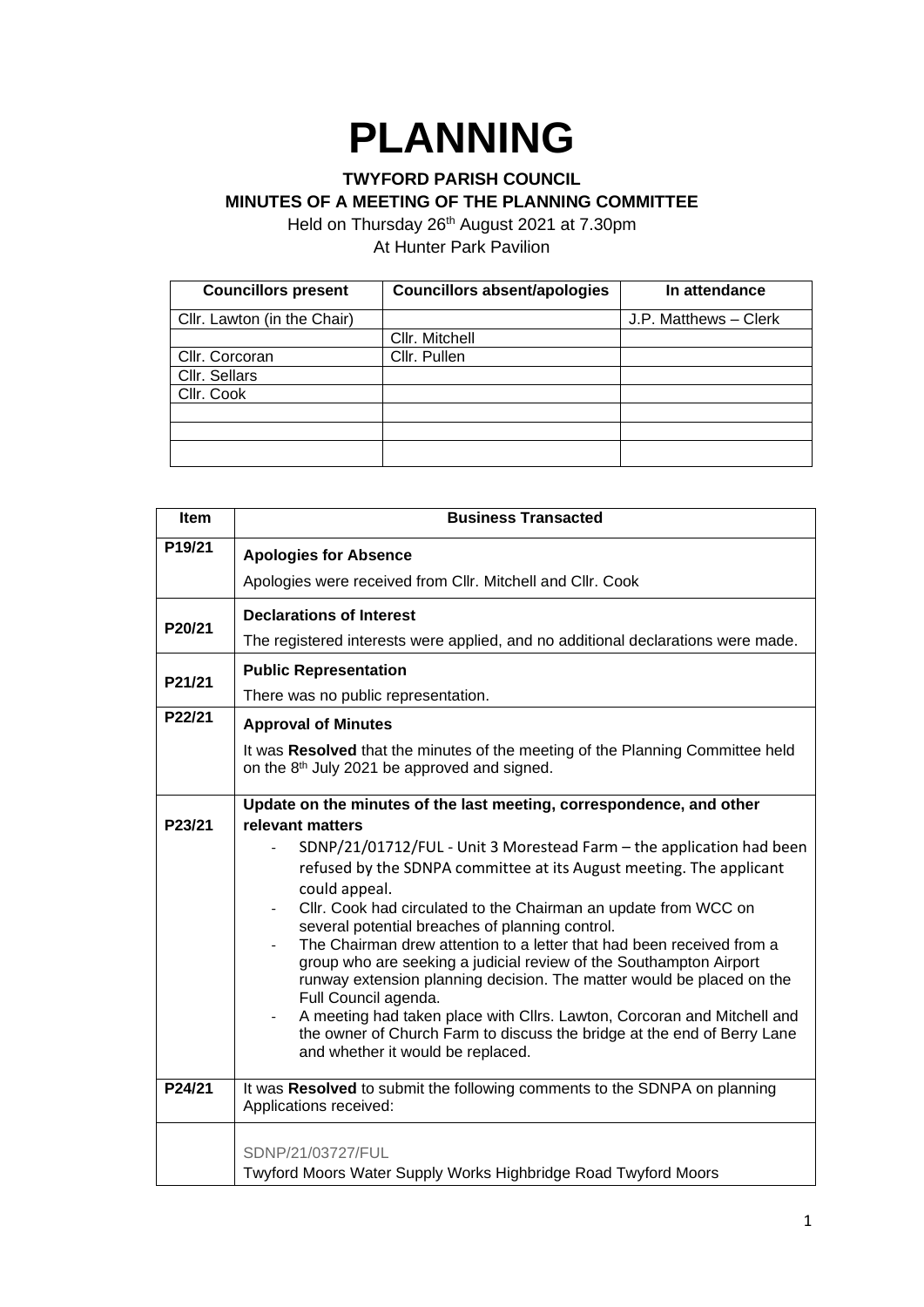## **PLANNING**

## **TWYFORD PARISH COUNCIL MINUTES OF A MEETING OF THE PLANNING COMMITTEE**

Held on Thursday 26<sup>th</sup> August 2021 at 7.30pm At Hunter Park Pavilion

| <b>Councillors present</b>  | <b>Councillors absent/apologies</b> | In attendance         |
|-----------------------------|-------------------------------------|-----------------------|
| Cllr. Lawton (in the Chair) |                                     | J.P. Matthews - Clerk |
|                             | Cllr. Mitchell                      |                       |
| Cllr. Corcoran              | Cllr. Pullen                        |                       |
| Cllr. Sellars               |                                     |                       |
| Cllr. Cook                  |                                     |                       |
|                             |                                     |                       |
|                             |                                     |                       |
|                             |                                     |                       |

| Item   | <b>Business Transacted</b>                                                                                                                                                              |  |  |
|--------|-----------------------------------------------------------------------------------------------------------------------------------------------------------------------------------------|--|--|
| P19/21 | <b>Apologies for Absence</b>                                                                                                                                                            |  |  |
|        | Apologies were received from Cllr. Mitchell and Cllr. Cook                                                                                                                              |  |  |
| P20/21 | <b>Declarations of Interest</b>                                                                                                                                                         |  |  |
|        | The registered interests were applied, and no additional declarations were made.                                                                                                        |  |  |
| P21/21 | <b>Public Representation</b>                                                                                                                                                            |  |  |
|        | There was no public representation.                                                                                                                                                     |  |  |
| P22/21 | <b>Approval of Minutes</b>                                                                                                                                                              |  |  |
|        | It was Resolved that the minutes of the meeting of the Planning Committee held<br>on the 8 <sup>th</sup> July 2021 be approved and signed.                                              |  |  |
|        | Update on the minutes of the last meeting, correspondence, and other                                                                                                                    |  |  |
| P23/21 | relevant matters                                                                                                                                                                        |  |  |
|        | SDNP/21/01712/FUL - Unit 3 Morestead Farm - the application had been<br>refused by the SDNPA committee at its August meeting. The applicant                                             |  |  |
|        | could appeal.                                                                                                                                                                           |  |  |
|        | Cllr. Cook had circulated to the Chairman an update from WCC on<br>several potential breaches of planning control.                                                                      |  |  |
|        | The Chairman drew attention to a letter that had been received from a                                                                                                                   |  |  |
|        | group who are seeking a judicial review of the Southampton Airport<br>runway extension planning decision. The matter would be placed on the                                             |  |  |
|        | Full Council agenda.                                                                                                                                                                    |  |  |
|        | A meeting had taken place with Cllrs. Lawton, Corcoran and Mitchell and<br>the owner of Church Farm to discuss the bridge at the end of Berry Lane<br>and whether it would be replaced. |  |  |
| P24/21 | It was Resolved to submit the following comments to the SDNPA on planning<br>Applications received:                                                                                     |  |  |
|        | SDNP/21/03727/FUL                                                                                                                                                                       |  |  |
|        | Twyford Moors Water Supply Works Highbridge Road Twyford Moors                                                                                                                          |  |  |